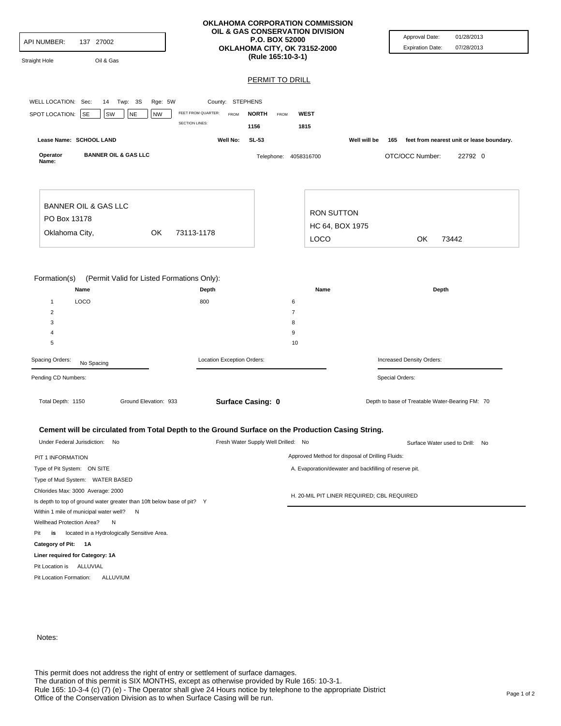| <b>API NUMBER:</b><br>137 27002<br><b>Straight Hole</b><br>Oil & Gas                                               | OKLAHOMA CORPORATION COMMISSION<br>OIL & GAS CONSERVATION DIVISION<br><b>P.O. BOX 52000</b><br>OKLAHOMA CITY, OK 73152-2000<br>(Rule 165:10-3-1) |                                     |                                                        | Approval Date:<br>01/28/2013<br><b>Expiration Date:</b><br>07/28/2013 |  |
|--------------------------------------------------------------------------------------------------------------------|--------------------------------------------------------------------------------------------------------------------------------------------------|-------------------------------------|--------------------------------------------------------|-----------------------------------------------------------------------|--|
|                                                                                                                    |                                                                                                                                                  | <b>PERMIT TO DRILL</b>              |                                                        |                                                                       |  |
|                                                                                                                    |                                                                                                                                                  |                                     |                                                        |                                                                       |  |
| WELL LOCATION: Sec:<br>14 Twp: 3S<br>Rge: 5W                                                                       | County: STEPHENS                                                                                                                                 |                                     |                                                        |                                                                       |  |
| SPOT LOCATION:<br><b>SE</b><br>SW<br><b>NE</b><br><b>NW</b>                                                        | FEET FROM QUARTER:<br><b>FROM</b>                                                                                                                | <b>WEST</b><br><b>NORTH</b><br>FROM |                                                        |                                                                       |  |
|                                                                                                                    | <b>SECTION LINES:</b>                                                                                                                            | 1156<br>1815                        |                                                        |                                                                       |  |
| Lease Name: SCHOOL LAND                                                                                            | Well No:                                                                                                                                         | SL-53                               | Well will be<br>165                                    | feet from nearest unit or lease boundary.                             |  |
| <b>BANNER OIL &amp; GAS LLC</b><br>Operator<br>Name:                                                               |                                                                                                                                                  | Telephone: 4058316700               |                                                        | OTC/OCC Number:<br>22792 0                                            |  |
| <b>BANNER OIL &amp; GAS LLC</b><br>PO Box 13178                                                                    |                                                                                                                                                  | <b>RON SUTTON</b>                   |                                                        |                                                                       |  |
|                                                                                                                    |                                                                                                                                                  |                                     | HC 64, BOX 1975                                        |                                                                       |  |
| Oklahoma City,<br>OK                                                                                               | 73113-1178                                                                                                                                       | LOCO                                |                                                        | OK<br>73442                                                           |  |
| LOCO<br>$\mathbf{1}$<br>2<br>3<br>$\overline{4}$<br>5<br>Spacing Orders:<br>No Spacing                             | 800<br>Location Exception Orders:                                                                                                                | 6<br>$\overline{7}$<br>8<br>9<br>10 |                                                        | Increased Density Orders:                                             |  |
| Pending CD Numbers:                                                                                                |                                                                                                                                                  |                                     |                                                        | Special Orders:                                                       |  |
| Total Depth: 1150<br>Ground Elevation: 933<br>Surface Casing: 0                                                    |                                                                                                                                                  |                                     | Depth to base of Treatable Water-Bearing FM: 70        |                                                                       |  |
| Cement will be circulated from Total Depth to the Ground Surface on the Production Casing String.                  |                                                                                                                                                  |                                     |                                                        |                                                                       |  |
| Under Federal Jurisdiction: No                                                                                     |                                                                                                                                                  | Fresh Water Supply Well Drilled: No | Surface Water used to Drill: No                        |                                                                       |  |
| PIT 1 INFORMATION                                                                                                  |                                                                                                                                                  |                                     | Approved Method for disposal of Drilling Fluids:       |                                                                       |  |
| Type of Pit System: ON SITE                                                                                        |                                                                                                                                                  |                                     | A. Evaporation/dewater and backfilling of reserve pit. |                                                                       |  |
| Type of Mud System: WATER BASED                                                                                    |                                                                                                                                                  |                                     |                                                        |                                                                       |  |
| Chlorides Max: 3000 Average: 2000                                                                                  |                                                                                                                                                  |                                     | H. 20-MIL PIT LINER REQUIRED; CBL REQUIRED             |                                                                       |  |
| Is depth to top of ground water greater than 10ft below base of pit? Y<br>Within 1 mile of municipal water well? N |                                                                                                                                                  |                                     |                                                        |                                                                       |  |
| Wellhead Protection Area?<br>N                                                                                     |                                                                                                                                                  |                                     |                                                        |                                                                       |  |
| located in a Hydrologically Sensitive Area.<br>Pit<br>is                                                           |                                                                                                                                                  |                                     |                                                        |                                                                       |  |
| Category of Pit: 1A                                                                                                |                                                                                                                                                  |                                     |                                                        |                                                                       |  |
|                                                                                                                    |                                                                                                                                                  |                                     |                                                        |                                                                       |  |

Notes:

Pit Location is ALLUVIAL Pit Location Formation: ALLUVIUM